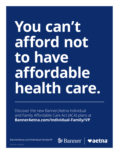# **You can't afford not to have affordable health care.**

Discover the new Banner|Aetna Individual and Family Affordable Care Act (ACA) plans at **[BannerAetna.com/Individual-Family/VP](http://www.BannerAetna.com/Individual-Family/VP)**.

[BannerAetna.com/Individual-Family/VP](http://www.BannerAetna.com/Individual-Family/VP)



34.02.324.1 -AZ (8/21)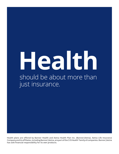## **Health**  should be about more than just insurance.

**Health plans are offered by Banner Health and Aetna Health Plan Inc. (Banner|Aetna). Aetna Life Insurance Company and its affiliates, including Banner|Aetna, are part of the CVS Health® family of companies. Banner|Aetna has sole financial responsibility for its own products.**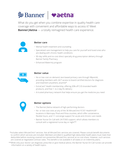### **<sup><sup>≫</sup>Banner | vaetna**</sup>

What do you get when you combine expertise in quality health care coverage with convenient and affordable ways to access it? Meet **Banner|Aetna** — a totally reimagined health care experience.



#### **Better care**

- Mental health treatment and counseling
- Specialized care management to help you care for yourself and loved ones who are dealing with chronic health conditions
- 90-day refills and no-cost direct specialty drug prescription delivery through Banner Family Pharmacy
- Enhanced Maternity program



#### **Better value**

- No or low-cost on-demand, text-based primary care through 98point6, providing members with 24/7 access to board-certified doctors for diagnosis and treatment anywhere, anytime\*
- ExtraCare® Health membership, offering 20% off CVS-branded health products, and free 1- to 2-day Rx delivery
- A trusted pharmacy network that helps ensure you get the medicine you need



#### **Better options**

- The Banner|Aetna network of high-performing doctors
- No- or low-cost visits at any of the 36 MinuteClinic®/CVS® HealthHUB™ locations in Maricopa, Pinal and Pima counties, which offer convenience, flexible hours, and 1:1 concierge support for acute and chronic care needs
- Banner Nurse On-Call with 24/7/365 support, which allows members to consult with a registered nurse day or night\*\*

 \*Includes select MinuteClinic® services. Not all MinuteClinic services are covered. Please consult benefit documents to confirm which services are included. Members enrolled in qualified high-deductible health plans must meet their deductible before receiving covered non-preventive MinuteClinic services at no cost-share. However, such services are covered at negotiated contract rates. This benefit is not available in all states or on indemnity plans.

\*\*While only your doctor can diagnose, prescribe or give medical advice, the Banner Nurse On-Call nurses can provide information on a variety of health topics.